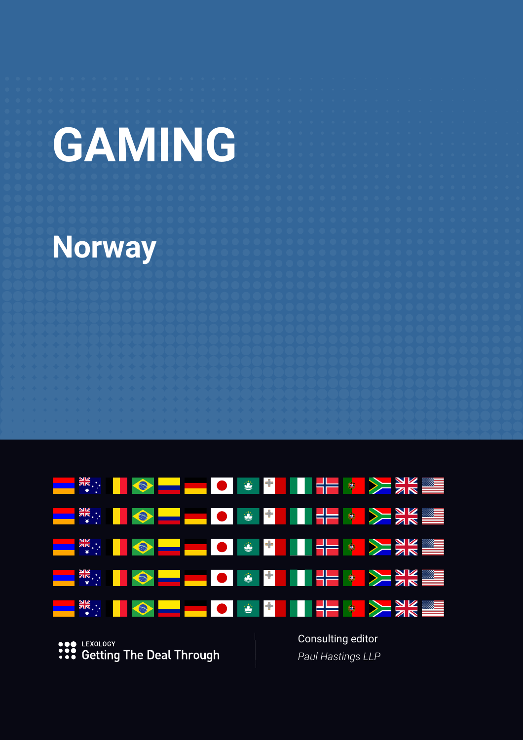# **GAMING**

# **Norway**

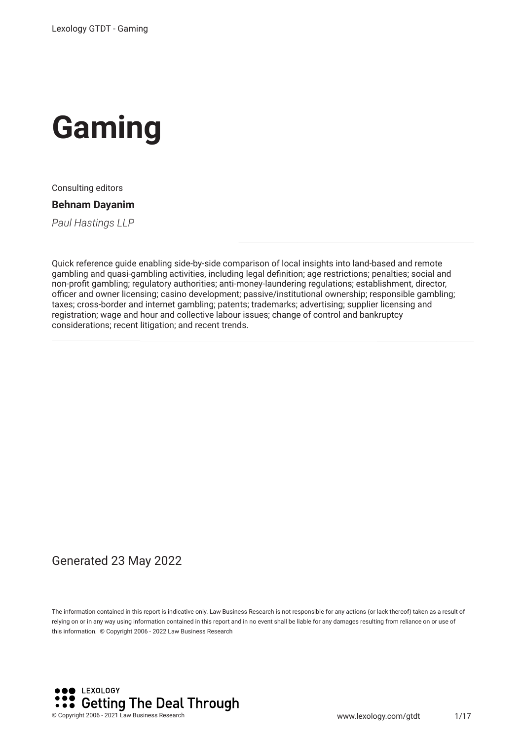

Consulting editors

**Behnam Dayanim**

*Paul Hastings LLP*

Quick reference guide enabling side-by-side comparison of local insights into land-based and remote gambling and quasi-gambling activities, including legal defnition; age restrictions; penalties; social and non-proft gambling; regulatory authorities; anti-money-laundering regulations; establishment, director, officer and owner licensing; casino development; passive/institutional ownership; responsible gambling; taxes; cross-border and internet gambling; patents; trademarks; advertising; supplier licensing and registration; wage and hour and collective labour issues; change of control and bankruptcy considerations; recent litigation; and recent trends.

#### Generated 23 May 2022

The information contained in this report is indicative only. Law Business Research is not responsible for any actions (or lack thereof) taken as a result of relying on or in any way using information contained in this report and in no event shall be liable for any damages resulting from reliance on or use of this information. © Copyright 2006 - 2022 Law Business Research

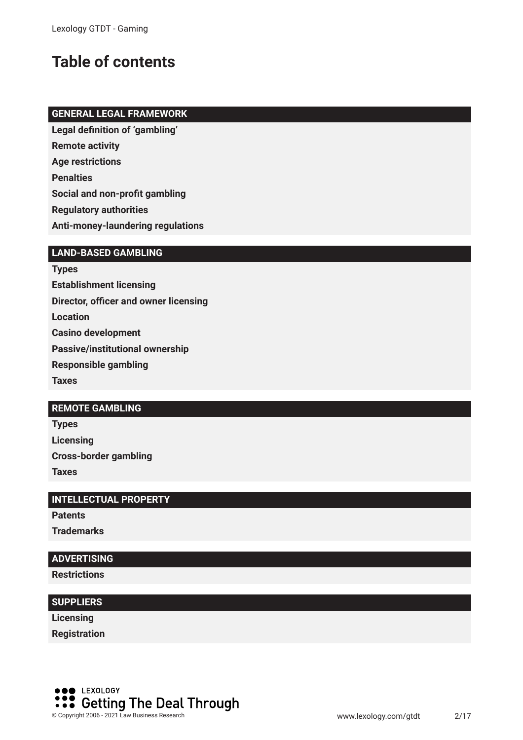# **Table of contents**

#### **GENERAL LEGAL FRAMEWORK**

**Legal defnition of 'gambling'**

**Remote activity**

**Age restrictions**

**Penalties**

**Social and non-proft gambling**

**Regulatory authorities**

**Anti-money-laundering regulations**

#### **LAND-BASED GAMBLING**

**Types Establishment licensing Director, officer and owner licensing Location Casino development Passive/institutional ownership Responsible gambling Taxes**

#### **REMOTE GAMBLING**

**Types Licensing Cross-border gambling Taxes**

#### **INTELLECTUAL PROPERTY**

**Patents**

**Trademarks**

#### **ADVERTISING**

**Restrictions**

#### **SUPPLIERS**

**Licensing**

**Registration**

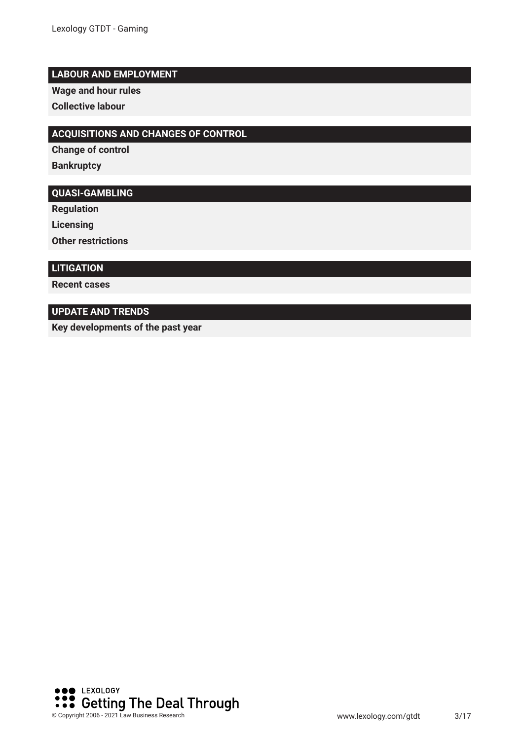#### **LABOUR AND EMPLOYMENT**

**Wage and hour rules**

**Collective labour**

#### **ACQUISITIONS AND CHANGES OF CONTROL**

**Change of control**

**Bankruptcy**

#### **QUASI-GAMBLING**

**Regulation**

**Licensing**

**Other restrictions**

#### **LITIGATION**

**Recent cases**

#### **UPDATE AND TRENDS**

**Key developments of the past year**

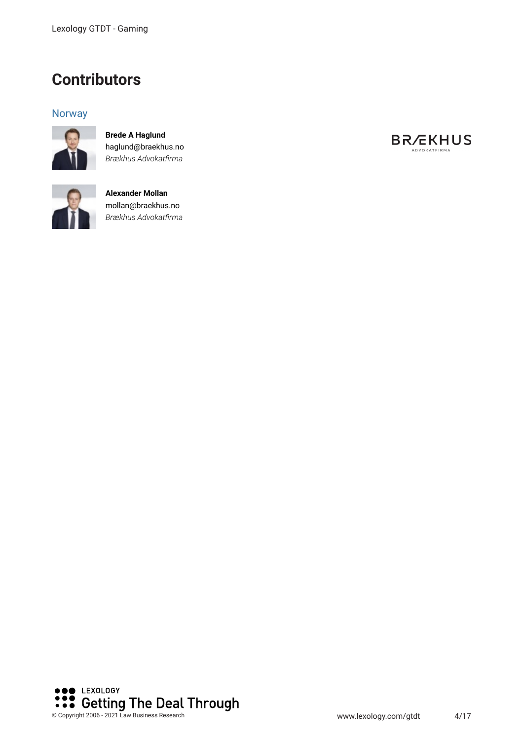### **Contributors**

#### **Norway**



**Brede A Haglund** haglund@braekhus.no *Brækhus Advokatfrma*



**Alexander Mollan** mollan@braekhus.no *Brækhus Advokatfrma*



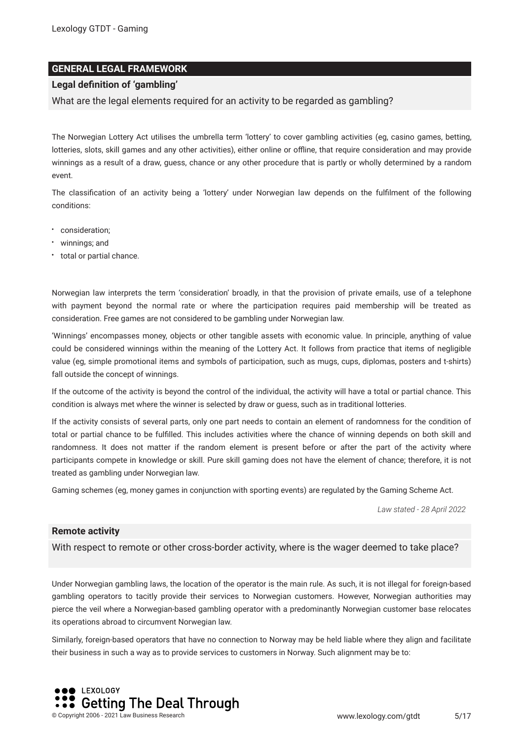#### **GENERAL LEGAL FRAMEWORK**

#### **Legal defnition of 'gambling'**

What are the legal elements required for an activity to be regarded as gambling?

The Norwegian Lottery Act utilises the umbrella term 'lottery' to cover gambling activities (eg, casino games, betting, lotteries, slots, skill games and any other activities), either online or offline, that require consideration and may provide winnings as a result of a draw, guess, chance or any other procedure that is partly or wholly determined by a random event.

The classifcation of an activity being a 'lottery' under Norwegian law depends on the fulflment of the following conditions:

- consideration;
- winnings; and
- total or partial chance.

Norwegian law interprets the term 'consideration' broadly, in that the provision of private emails, use of a telephone with payment beyond the normal rate or where the participation requires paid membership will be treated as consideration. Free games are not considered to be gambling under Norwegian law.

'Winnings' encompasses money, objects or other tangible assets with economic value. In principle, anything of value could be considered winnings within the meaning of the Lottery Act. It follows from practice that items of negligible value (eg, simple promotional items and symbols of participation, such as mugs, cups, diplomas, posters and t-shirts) fall outside the concept of winnings.

If the outcome of the activity is beyond the control of the individual, the activity will have a total or partial chance. This condition is always met where the winner is selected by draw or guess, such as in traditional lotteries.

If the activity consists of several parts, only one part needs to contain an element of randomness for the condition of total or partial chance to be fulflled. This includes activities where the chance of winning depends on both skill and randomness. It does not matter if the random element is present before or after the part of the activity where participants compete in knowledge or skill. Pure skill gaming does not have the element of chance; therefore, it is not treated as gambling under Norwegian law.

Gaming schemes (eg, money games in conjunction with sporting events) are regulated by the Gaming Scheme Act.

*Law stated - 28 April 2022*

#### **Remote activity**

With respect to remote or other cross-border activity, where is the wager deemed to take place?

Under Norwegian gambling laws, the location of the operator is the main rule. As such, it is not illegal for foreign-based gambling operators to tacitly provide their services to Norwegian customers. However, Norwegian authorities may pierce the veil where a Norwegian-based gambling operator with a predominantly Norwegian customer base relocates its operations abroad to circumvent Norwegian law.

Similarly, foreign-based operators that have no connection to Norway may be held liable where they align and facilitate their business in such a way as to provide services to customers in Norway. Such alignment may be to:

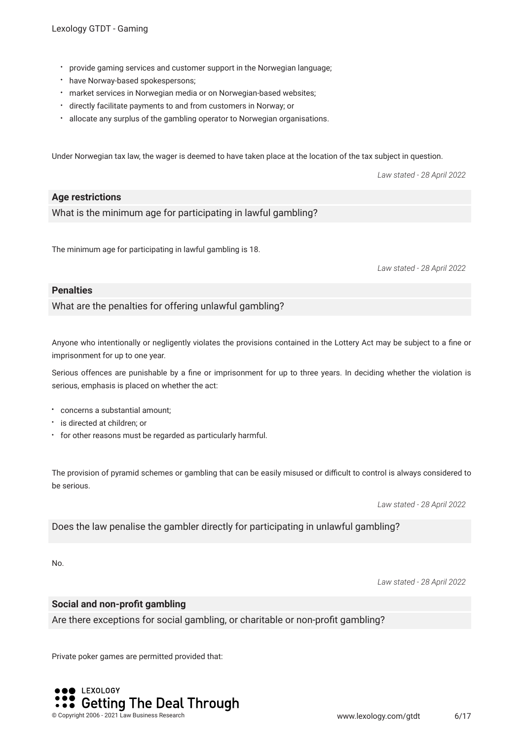- provide gaming services and customer support in the Norwegian language;
- have Norway-based spokespersons;
- market services in Norwegian media or on Norwegian-based websites;
- directly facilitate payments to and from customers in Norway; or
- allocate any surplus of the gambling operator to Norwegian organisations.

Under Norwegian tax law, the wager is deemed to have taken place at the location of the tax subject in question.

*Law stated - 28 April 2022*

#### **Age restrictions**

What is the minimum age for participating in lawful gambling?

The minimum age for participating in lawful gambling is 18.

*Law stated - 28 April 2022*

#### **Penalties**

What are the penalties for offering unlawful gambling?

Anyone who intentionally or negligently violates the provisions contained in the Lottery Act may be subject to a fne or imprisonment for up to one year.

Serious offences are punishable by a fne or imprisonment for up to three years. In deciding whether the violation is serious, emphasis is placed on whether the act:

- concerns a substantial amount;
- **•** is directed at children; or
- for other reasons must be regarded as particularly harmful.

The provision of pyramid schemes or gambling that can be easily misused or difficult to control is always considered to be serious.

*Law stated - 28 April 2022*

Does the law penalise the gambler directly for participating in unlawful gambling?

No.

*Law stated - 28 April 2022*

#### **Social and non-proft gambling**

Are there exceptions for social gambling, or charitable or non-proft gambling?

Private poker games are permitted provided that:

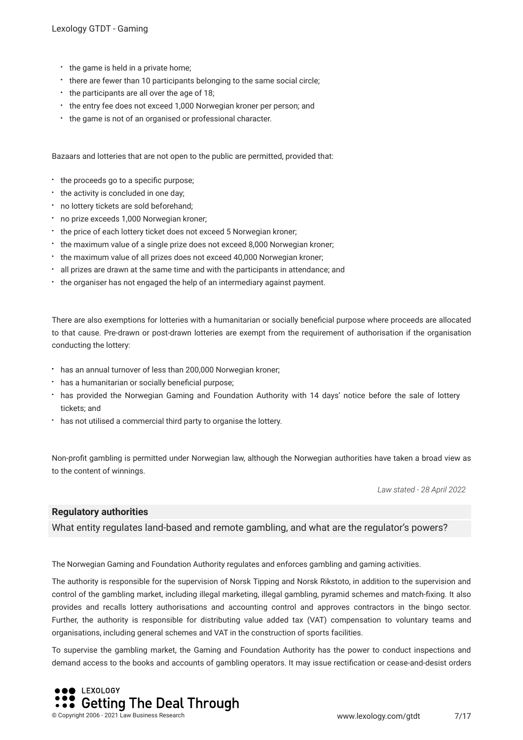- the game is held in a private home;
- there are fewer than 10 participants belonging to the same social circle;
- the participants are all over the age of 18;
- the entry fee does not exceed 1,000 Norwegian kroner per person; and
- the game is not of an organised or professional character.

Bazaars and lotteries that are not open to the public are permitted, provided that:

- $\cdot$  the proceeds go to a specific purpose;
- the activity is concluded in one day;
- no lottery tickets are sold beforehand;
- no prize exceeds 1,000 Norwegian kroner;
- the price of each lottery ticket does not exceed 5 Norwegian kroner;
- the maximum value of a single prize does not exceed 8,000 Norwegian kroner;
- the maximum value of all prizes does not exceed 40,000 Norwegian kroner;
- all prizes are drawn at the same time and with the participants in attendance; and
- the organiser has not engaged the help of an intermediary against payment.

There are also exemptions for lotteries with a humanitarian or socially benefcial purpose where proceeds are allocated to that cause. Pre-drawn or post-drawn lotteries are exempt from the requirement of authorisation if the organisation conducting the lottery:

- has an annual turnover of less than 200,000 Norwegian kroner;
- has a humanitarian or socially beneficial purpose;
- has provided the Norwegian Gaming and Foundation Authority with 14 days' notice before the sale of lottery tickets; and
- has not utilised a commercial third party to organise the lottery.

Non-proft gambling is permitted under Norwegian law, although the Norwegian authorities have taken a broad view as to the content of winnings.

*Law stated - 28 April 2022*

#### **Regulatory authorities**

What entity regulates land-based and remote gambling, and what are the regulator's powers?

The Norwegian Gaming and Foundation Authority regulates and enforces gambling and gaming activities.

The authority is responsible for the supervision of Norsk Tipping and Norsk Rikstoto, in addition to the supervision and control of the gambling market, including illegal marketing, illegal gambling, pyramid schemes and match-fxing. It also provides and recalls lottery authorisations and accounting control and approves contractors in the bingo sector. Further, the authority is responsible for distributing value added tax (VAT) compensation to voluntary teams and organisations, including general schemes and VAT in the construction of sports facilities.

To supervise the gambling market, the Gaming and Foundation Authority has the power to conduct inspections and demand access to the books and accounts of gambling operators. It may issue rectifcation or cease-and-desist orders

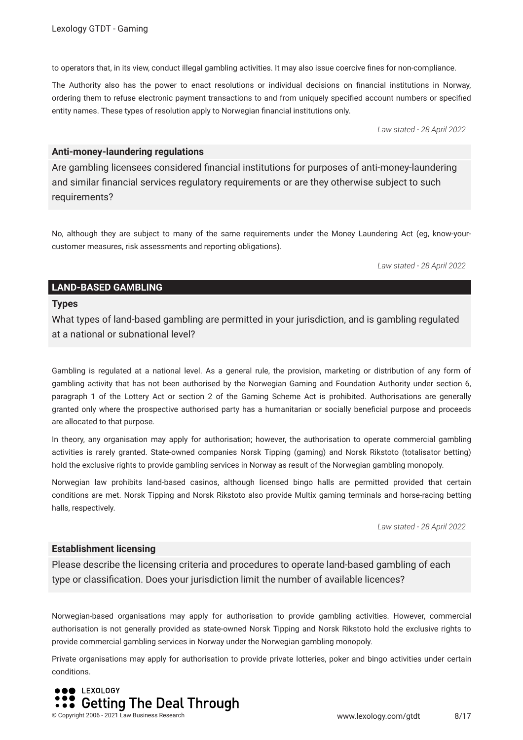to operators that, in its view, conduct illegal gambling activities. It may also issue coercive fnes for non-compliance.

The Authority also has the power to enact resolutions or individual decisions on fnancial institutions in Norway, ordering them to refuse electronic payment transactions to and from uniquely specifed account numbers or specifed entity names. These types of resolution apply to Norwegian fnancial institutions only.

*Law stated - 28 April 2022*

#### **Anti-money-laundering regulations**

Are gambling licensees considered fnancial institutions for purposes of anti-money-laundering and similar fnancial services regulatory requirements or are they otherwise subject to such requirements?

No, although they are subject to many of the same requirements under the Money Laundering Act (eg, know-yourcustomer measures, risk assessments and reporting obligations).

*Law stated - 28 April 2022*

#### **LAND-BASED GAMBLING**

#### **Types**

What types of land-based gambling are permitted in your jurisdiction, and is gambling regulated at a national or subnational level?

Gambling is regulated at a national level. As a general rule, the provision, marketing or distribution of any form of gambling activity that has not been authorised by the Norwegian Gaming and Foundation Authority under section 6, paragraph 1 of the Lottery Act or section 2 of the Gaming Scheme Act is prohibited. Authorisations are generally granted only where the prospective authorised party has a humanitarian or socially benefcial purpose and proceeds are allocated to that purpose.

In theory, any organisation may apply for authorisation; however, the authorisation to operate commercial gambling activities is rarely granted. State-owned companies Norsk Tipping (gaming) and Norsk Rikstoto (totalisator betting) hold the exclusive rights to provide gambling services in Norway as result of the Norwegian gambling monopoly.

Norwegian law prohibits land-based casinos, although licensed bingo halls are permitted provided that certain conditions are met. Norsk Tipping and Norsk Rikstoto also provide Multix gaming terminals and horse-racing betting halls, respectively.

*Law stated - 28 April 2022*

#### **Establishment licensing**

Please describe the licensing criteria and procedures to operate land-based gambling of each type or classifcation. Does your jurisdiction limit the number of available licences?

Norwegian-based organisations may apply for authorisation to provide gambling activities. However, commercial authorisation is not generally provided as state-owned Norsk Tipping and Norsk Rikstoto hold the exclusive rights to provide commercial gambling services in Norway under the Norwegian gambling monopoly.

Private organisations may apply for authorisation to provide private lotteries, poker and bingo activities under certain conditions.

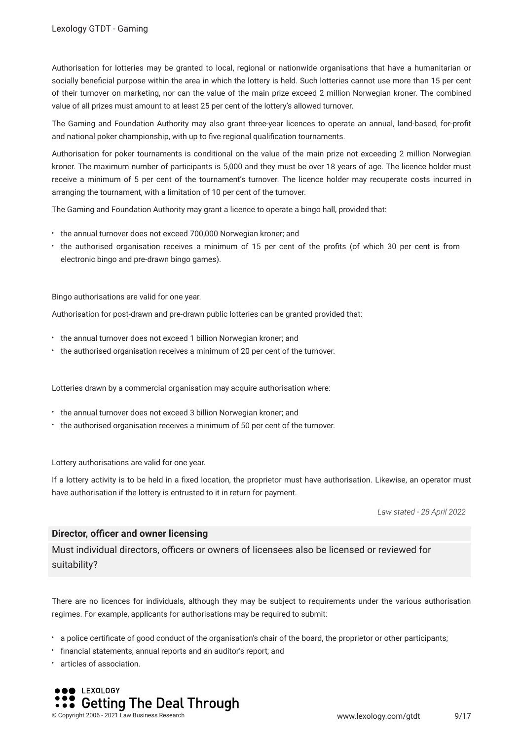Authorisation for lotteries may be granted to local, regional or nationwide organisations that have a humanitarian or socially benefcial purpose within the area in which the lottery is held. Such lotteries cannot use more than 15 per cent of their turnover on marketing, nor can the value of the main prize exceed 2 million Norwegian kroner. The combined value of all prizes must amount to at least 25 per cent of the lottery's allowed turnover.

The Gaming and Foundation Authority may also grant three-year licences to operate an annual, land-based, for-proft and national poker championship, with up to fve regional qualifcation tournaments.

Authorisation for poker tournaments is conditional on the value of the main prize not exceeding 2 million Norwegian kroner. The maximum number of participants is 5,000 and they must be over 18 years of age. The licence holder must receive a minimum of 5 per cent of the tournament's turnover. The licence holder may recuperate costs incurred in arranging the tournament, with a limitation of 10 per cent of the turnover.

The Gaming and Foundation Authority may grant a licence to operate a bingo hall, provided that:

- the annual turnover does not exceed 700,000 Norwegian kroner; and
- the authorised organisation receives a minimum of 15 per cent of the profts (of which 30 per cent is from electronic bingo and pre-drawn bingo games).

Bingo authorisations are valid for one year.

Authorisation for post-drawn and pre-drawn public lotteries can be granted provided that:

- \* the annual turnover does not exceed 1 billion Norwegian kroner; and
- the authorised organisation receives a minimum of 20 per cent of the turnover.

Lotteries drawn by a commercial organisation may acquire authorisation where:

- \* the annual turnover does not exceed 3 billion Norwegian kroner; and
- the authorised organisation receives a minimum of 50 per cent of the turnover.

Lottery authorisations are valid for one year.

If a lottery activity is to be held in a fxed location, the proprietor must have authorisation. Likewise, an operator must have authorisation if the lottery is entrusted to it in return for payment.

*Law stated - 28 April 2022*

#### **Director, officer and owner licensing**

Must individual directors, officers or owners of licensees also be licensed or reviewed for suitability?

There are no licences for individuals, although they may be subject to requirements under the various authorisation regimes. For example, applicants for authorisations may be required to submit:

- a police certifcate of good conduct of the organisation's chair of the board, the proprietor or other participants;
- fnancial statements, annual reports and an auditor's report; and
- articles of association.

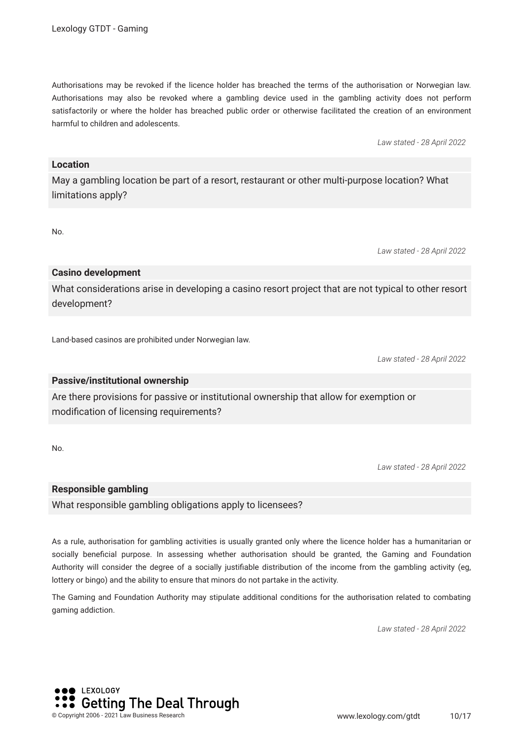Authorisations may be revoked if the licence holder has breached the terms of the authorisation or Norwegian law. Authorisations may also be revoked where a gambling device used in the gambling activity does not perform satisfactorily or where the holder has breached public order or otherwise facilitated the creation of an environment harmful to children and adolescents.

*Law stated - 28 April 2022*

#### **Location**

May a gambling location be part of a resort, restaurant or other multi-purpose location? What limitations apply?

No.

*Law stated - 28 April 2022*

#### **Casino development**

What considerations arise in developing a casino resort project that are not typical to other resort development?

Land-based casinos are prohibited under Norwegian law.

*Law stated - 28 April 2022*

#### **Passive/institutional ownership**

Are there provisions for passive or institutional ownership that allow for exemption or modifcation of licensing requirements?

No.

*Law stated - 28 April 2022*

#### **Responsible gambling**

What responsible gambling obligations apply to licensees?

As a rule, authorisation for gambling activities is usually granted only where the licence holder has a humanitarian or socially benefcial purpose. In assessing whether authorisation should be granted, the Gaming and Foundation Authority will consider the degree of a socially justifable distribution of the income from the gambling activity (eg, lottery or bingo) and the ability to ensure that minors do not partake in the activity.

The Gaming and Foundation Authority may stipulate additional conditions for the authorisation related to combating gaming addiction.

*Law stated - 28 April 2022*

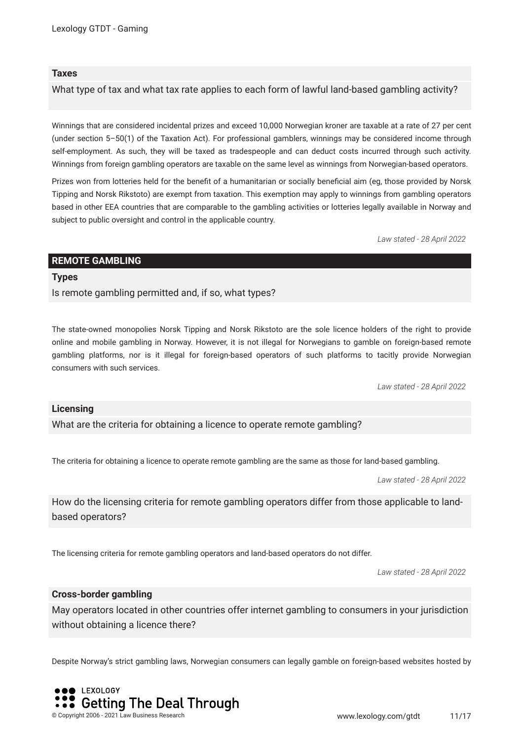#### **Taxes**

What type of tax and what tax rate applies to each form of lawful land-based gambling activity?

Winnings that are considered incidental prizes and exceed 10,000 Norwegian kroner are taxable at a rate of 27 per cent (under section 5–50(1) of the Taxation Act). For professional gamblers, winnings may be considered income through self-employment. As such, they will be taxed as tradespeople and can deduct costs incurred through such activity. Winnings from foreign gambling operators are taxable on the same level as winnings from Norwegian-based operators.

Prizes won from lotteries held for the beneft of a humanitarian or socially benefcial aim (eg, those provided by Norsk Tipping and Norsk Rikstoto) are exempt from taxation. This exemption may apply to winnings from gambling operators based in other EEA countries that are comparable to the gambling activities or lotteries legally available in Norway and subject to public oversight and control in the applicable country.

*Law stated - 28 April 2022*

#### **REMOTE GAMBLING**

#### **Types**

Is remote gambling permitted and, if so, what types?

The state-owned monopolies Norsk Tipping and Norsk Rikstoto are the sole licence holders of the right to provide online and mobile gambling in Norway. However, it is not illegal for Norwegians to gamble on foreign-based remote gambling platforms, nor is it illegal for foreign-based operators of such platforms to tacitly provide Norwegian consumers with such services.

*Law stated - 28 April 2022*

#### **Licensing**

What are the criteria for obtaining a licence to operate remote gambling?

The criteria for obtaining a licence to operate remote gambling are the same as those for land-based gambling.

*Law stated - 28 April 2022*

How do the licensing criteria for remote gambling operators differ from those applicable to landbased operators?

The licensing criteria for remote gambling operators and land-based operators do not differ.

*Law stated - 28 April 2022*

#### **Cross-border gambling**

May operators located in other countries offer internet gambling to consumers in your jurisdiction without obtaining a licence there?

Despite Norway's strict gambling laws, Norwegian consumers can legally gamble on foreign-based websites hosted by

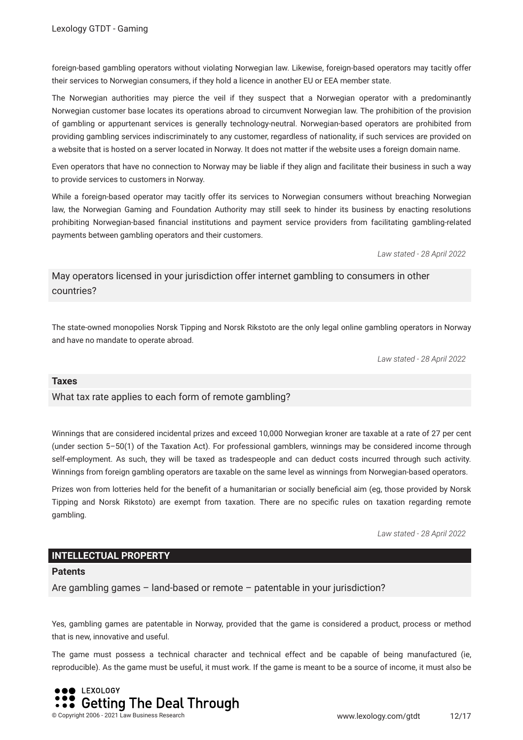foreign-based gambling operators without violating Norwegian law. Likewise, foreign-based operators may tacitly offer their services to Norwegian consumers, if they hold a licence in another EU or EEA member state.

The Norwegian authorities may pierce the veil if they suspect that a Norwegian operator with a predominantly Norwegian customer base locates its operations abroad to circumvent Norwegian law. The prohibition of the provision of gambling or appurtenant services is generally technology-neutral. Norwegian-based operators are prohibited from providing gambling services indiscriminately to any customer, regardless of nationality, if such services are provided on a website that is hosted on a server located in Norway. It does not matter if the website uses a foreign domain name.

Even operators that have no connection to Norway may be liable if they align and facilitate their business in such a way to provide services to customers in Norway.

While a foreign-based operator may tacitly offer its services to Norwegian consumers without breaching Norwegian law, the Norwegian Gaming and Foundation Authority may still seek to hinder its business by enacting resolutions prohibiting Norwegian-based fnancial institutions and payment service providers from facilitating gambling-related payments between gambling operators and their customers.

*Law stated - 28 April 2022*

May operators licensed in your jurisdiction offer internet gambling to consumers in other countries?

The state-owned monopolies Norsk Tipping and Norsk Rikstoto are the only legal online gambling operators in Norway and have no mandate to operate abroad.

*Law stated - 28 April 2022*

#### **Taxes**

What tax rate applies to each form of remote gambling?

Winnings that are considered incidental prizes and exceed 10,000 Norwegian kroner are taxable at a rate of 27 per cent (under section 5–50(1) of the Taxation Act). For professional gamblers, winnings may be considered income through self-employment. As such, they will be taxed as tradespeople and can deduct costs incurred through such activity. Winnings from foreign gambling operators are taxable on the same level as winnings from Norwegian-based operators.

Prizes won from lotteries held for the beneft of a humanitarian or socially benefcial aim (eg, those provided by Norsk Tipping and Norsk Rikstoto) are exempt from taxation. There are no specifc rules on taxation regarding remote gambling.

*Law stated - 28 April 2022*

#### **INTELLECTUAL PROPERTY**

#### **Patents**

Are gambling games – land-based or remote – patentable in your jurisdiction?

Yes, gambling games are patentable in Norway, provided that the game is considered a product, process or method that is new, innovative and useful.

The game must possess a technical character and technical effect and be capable of being manufactured (ie, reproducible). As the game must be useful, it must work. If the game is meant to be a source of income, it must also be

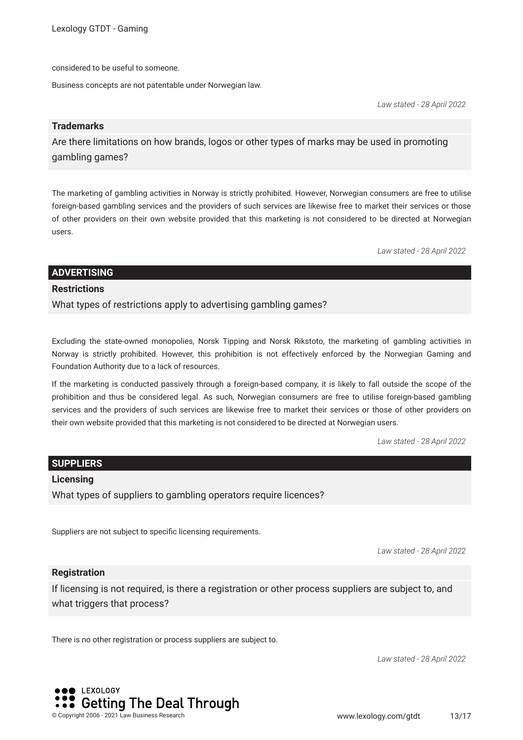considered to be useful to someone.

Business concepts are not patentable under Norwegian law.

*Law stated - 28 April 2022*

#### **Trademarks**

Are there limitations on how brands, logos or other types of marks may be used in promoting gambling games?

The marketing of gambling activities in Norway is strictly prohibited. However, Norwegian consumers are free to utilise foreign-based gambling services and the providers of such services are likewise free to market their services or those of other providers on their own website provided that this marketing is not considered to be directed at Norwegian users.

*Law stated - 28 April 2022*

#### **ADVERTISING**

#### **Restrictions**

What types of restrictions apply to advertising gambling games?

Excluding the state-owned monopolies, Norsk Tipping and Norsk Rikstoto, the marketing of gambling activities in Norway is strictly prohibited. However, this prohibition is not effectively enforced by the Norwegian Gaming and Foundation Authority due to a lack of resources.

If the marketing is conducted passively through a foreign-based company, it is likely to fall outside the scope of the prohibition and thus be considered legal. As such, Norwegian consumers are free to utilise foreign-based gambling services and the providers of such services are likewise free to market their services or those of other providers on their own website provided that this marketing is not considered to be directed at Norwegian users.

*Law stated - 28 April 2022*

#### **SUPPLIERS**

#### **Licensing**

What types of suppliers to gambling operators require licences?

Suppliers are not subject to specifc licensing requirements.

*Law stated - 28 April 2022*

#### **Registration**

If licensing is not required, is there a registration or other process suppliers are subject to, and what triggers that process?

There is no other registration or process suppliers are subject to.

*Law stated - 28 April 2022*

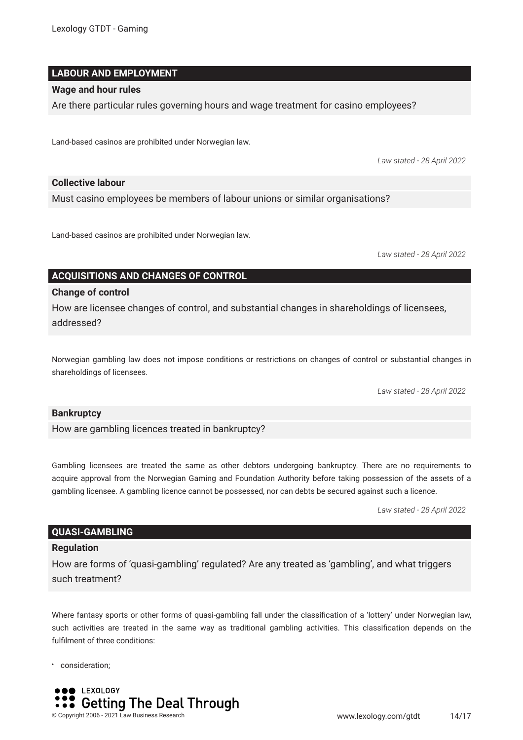#### **LABOUR AND EMPLOYMENT**

#### **Wage and hour rules**

Are there particular rules governing hours and wage treatment for casino employees?

Land-based casinos are prohibited under Norwegian law.

*Law stated - 28 April 2022*

#### **Collective labour**

Must casino employees be members of labour unions or similar organisations?

Land-based casinos are prohibited under Norwegian law.

*Law stated - 28 April 2022*

#### **ACQUISITIONS AND CHANGES OF CONTROL**

#### **Change of control**

How are licensee changes of control, and substantial changes in shareholdings of licensees, addressed?

Norwegian gambling law does not impose conditions or restrictions on changes of control or substantial changes in shareholdings of licensees.

*Law stated - 28 April 2022*

#### **Bankruptcy**

How are gambling licences treated in bankruptcy?

Gambling licensees are treated the same as other debtors undergoing bankruptcy. There are no requirements to acquire approval from the Norwegian Gaming and Foundation Authority before taking possession of the assets of a gambling licensee. A gambling licence cannot be possessed, nor can debts be secured against such a licence.

*Law stated - 28 April 2022*

#### **QUASI-GAMBLING**

#### **Regulation**

How are forms of 'quasi-gambling' regulated? Are any treated as 'gambling', and what triggers such treatment?

Where fantasy sports or other forms of quasi-gambling fall under the classification of a 'lottery' under Norwegian law, such activities are treated in the same way as traditional gambling activities. This classifcation depends on the fulflment of three conditions:

consideration;

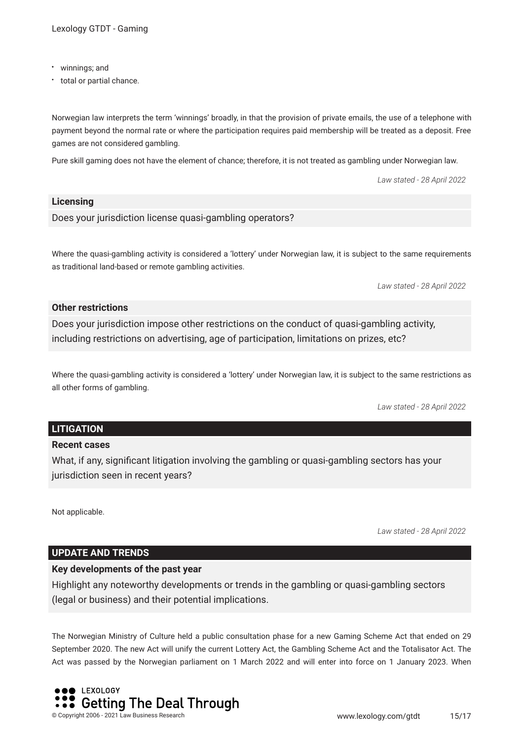- winnings; and
- total or partial chance.

Norwegian law interprets the term 'winnings' broadly, in that the provision of private emails, the use of a telephone with payment beyond the normal rate or where the participation requires paid membership will be treated as a deposit. Free games are not considered gambling.

Pure skill gaming does not have the element of chance; therefore, it is not treated as gambling under Norwegian law.

*Law stated - 28 April 2022*

#### **Licensing**

Does your jurisdiction license quasi-gambling operators?

Where the quasi-gambling activity is considered a 'lottery' under Norwegian law, it is subject to the same requirements as traditional land-based or remote gambling activities.

*Law stated - 28 April 2022*

#### **Other restrictions**

Does your jurisdiction impose other restrictions on the conduct of quasi-gambling activity, including restrictions on advertising, age of participation, limitations on prizes, etc?

Where the quasi-gambling activity is considered a 'lottery' under Norwegian law, it is subject to the same restrictions as all other forms of gambling.

*Law stated - 28 April 2022*

#### **LITIGATION**

#### **Recent cases**

What, if any, signifcant litigation involving the gambling or quasi-gambling sectors has your jurisdiction seen in recent years?

Not applicable.

*Law stated - 28 April 2022*

#### **UPDATE AND TRENDS**

#### **Key developments of the past year**

Highlight any noteworthy developments or trends in the gambling or quasi-gambling sectors (legal or business) and their potential implications.

The Norwegian Ministry of Culture held a public consultation phase for a new Gaming Scheme Act that ended on 29 September 2020. The new Act will unify the current Lottery Act, the Gambling Scheme Act and the Totalisator Act. The Act was passed by the Norwegian parliament on 1 March 2022 and will enter into force on 1 January 2023. When

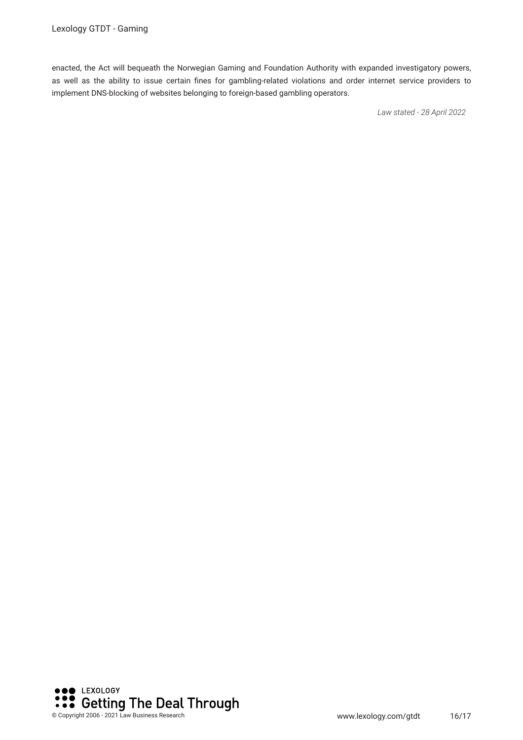enacted, the Act will bequeath the Norwegian Gaming and Foundation Authority with expanded investigatory powers, as well as the ability to issue certain fnes for gambling-related violations and order internet service providers to implement DNS-blocking of websites belonging to foreign-based gambling operators.

*Law stated - 28 April 2022*